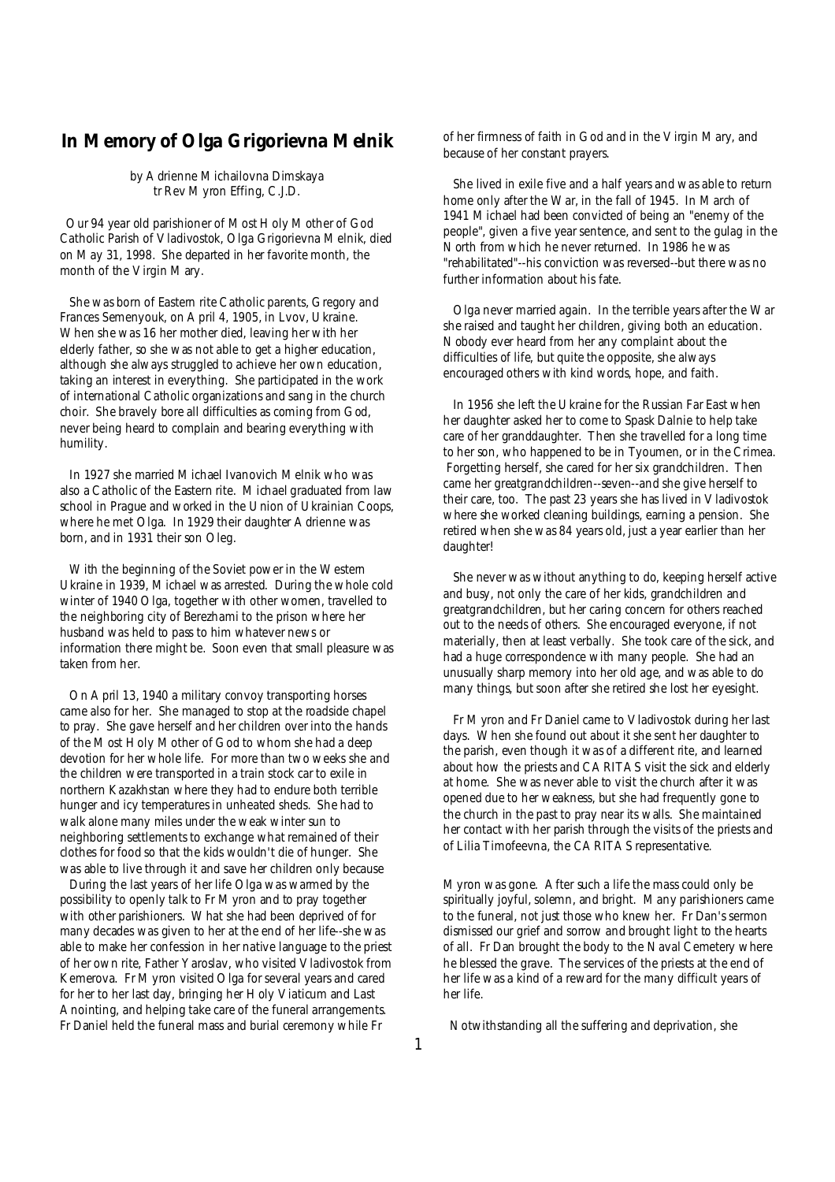### **In Memory of Olga Grigorievna Melnik**

*by Adrienne Michailovna Dimskaya tr Rev Myron Effing, C.J.D.*

Our 94 year old parishioner of Most Holy Mother of God Catholic Parish of Vladivostok, Olga Grigorievna Melnik, died on May 31, 1998. She departed in her favorite month, the month of the Virgin Mary.

She was born of Eastern rite Catholic parents, Gregory and Frances Semenyouk, on April 4, 1905, in Lvov, Ukraine. When she was 16 her mother died, leaving her with her elderly father, so she was not able to get a higher education, although she always struggled to achieve her own education, taking an interest in everything. She participated in the work of international Catholic organizations and sang in the church choir. She bravely bore all difficulties as coming from God, never being heard to complain and bearing everything with humility.

In 1927 she married Michael Ivanovich Melnik who was also a Catholic of the Eastern rite. Michael graduated from law school in Prague and worked in the Union of Ukrainian Coops, where he met Olga. In 1929 their daughter Adrienne was born, and in 1931 their son Oleg.

With the beginning of the Soviet power in the Western Ukraine in 1939, Michael was arrested. During the whole cold winter of 1940 Olga, together with other women, travelled to the neighboring city of Berezhami to the prison where her husband was held to pass to him whatever news or information there might be. Soon even that small pleasure was taken from her.

On April 13, 1940 a military convoy transporting horses came also for her. She managed to stop at the roadside chapel to pray. She gave herself and her children over into the hands of the Most Holy Mother of God to whom she had a deep devotion for her whole life. For more than two weeks she and the children were transported in a train stock car to exile in northern Kazakhstan where they had to endure both terrible hunger and icy temperatures in unheated sheds. She had to walk alone many miles under the weak winter sun to neighboring settlements to exchange what remained of their clothes for food so that the kids wouldn't die of hunger. She was able to live through it and save her children only because

During the last years of her life Olga was warmed by the possibility to openly talk to Fr Myron and to pray together with other parishioners. What she had been deprived of for many decades was given to her at the end of her life--she was able to make her confession in her native language to the priest of her own rite, Father Yaroslav, who visited Vladivostok from Kemerova. Fr Myron visited Olga for several years and cared for her to her last day, bringing her Holy Viaticum and Last Anointing, and helping take care of the funeral arrangements. Fr Daniel held the funeral mass and burial ceremony while Fr

of her firmness of faith in God and in the Virgin Mary, and because of her constant prayers.

 She lived in exile five and a half years and was able to return home only after the War, in the fall of 1945. In March of 1941 Michael had been convicted of being an "enemy of the people", given a five year sentence, and sent to the gulag in the North from which he never returned. In 1986 he was "rehabilitated"--his conviction was reversed--but there was no further information about his fate.

 Olga never married again. In the terrible years after the War she raised and taught her children, giving both an education. Nobody ever heard from her any complaint about the difficulties of life, but quite the opposite, she always encouraged others with kind words, hope, and faith.

 In 1956 she left the Ukraine for the Russian Far East when her daughter asked her to come to Spask Dalnie to help take care of her granddaughter. Then she travelled for a long time to her son, who happened to be in Tyoumen, or in the Crimea. Forgetting herself, she cared for her six grandchildren. Then came her greatgrandchildren--seven--and she give herself to their care, too. The past 23 years she has lived in Vladivostok where she worked cleaning buildings, earning a pension. She retired when she was 84 years old, just a year earlier than her daughter!

 She never was without anything to do, keeping herself active and busy, not only the care of her kids, grandchildren and greatgrandchildren, but her caring concern for others reached out to the needs of others. She encouraged everyone, if not materially, then at least verbally. She took care of the sick, and had a huge correspondence with many people. She had an unusually sharp memory into her old age, and was able to do many things, but soon after she retired she lost her eyesight.

 Fr Myron and Fr Daniel came to Vladivostok during her last days. When she found out about it she sent her daughter to the parish, even though it was of a different rite, and learned about how the priests and CARITAS visit the sick and elderly at home. She was never able to visit the church after it was opened due to her weakness, but she had frequently gone to the church in the past to pray near its walls. She maintained her contact with her parish through the visits of the priests and of Lilia Timofeevna, the CARITAS representative.

Myron was gone. After such a life the mass could only be spiritually joyful, solemn, and bright. Many parishioners came to the funeral, not just those who knew her. Fr Dan's sermon dismissed our grief and sorrow and brought light to the hearts of all. Fr Dan brought the body to the Naval Cemetery where he blessed the grave. The services of the priests at the end of her life was a kind of a reward for the many difficult years of her life.

Notwithstanding all the suffering and deprivation, she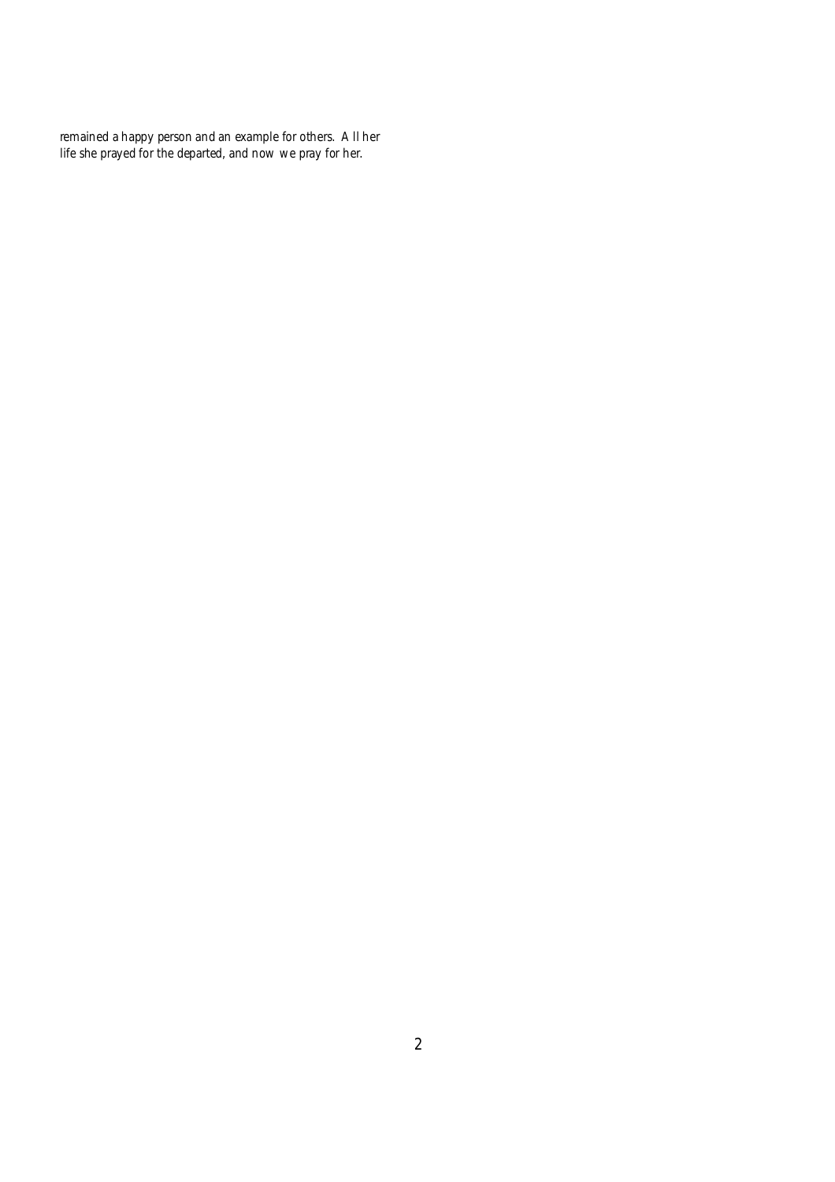remained a happy person and an example for others. All her life she prayed for the departed, and now we pray for her.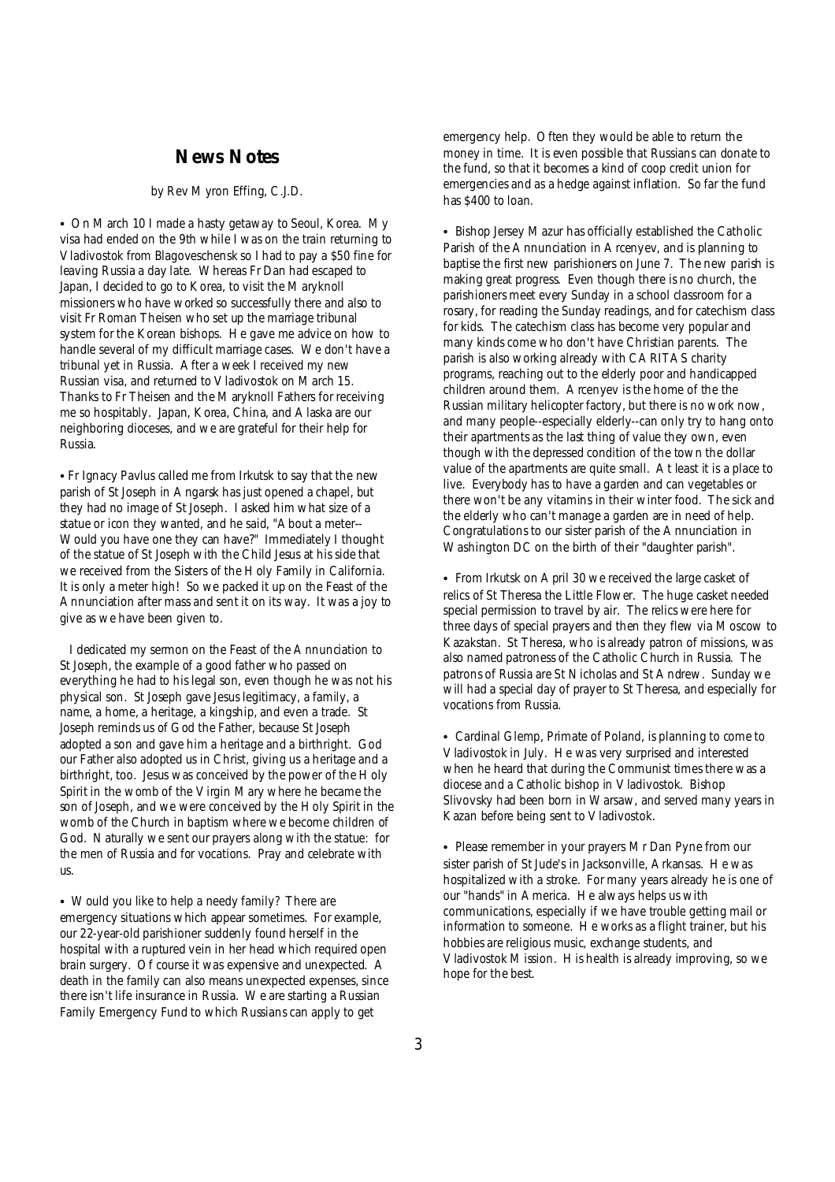### **News Notes**

#### *by Rev Myron Effing, C.J.D.*

• On March 10 I made a hasty getaway to Seoul, Korea. My visa had ended on the 9th while I was on the train returning to Vladivostok from Blagoveschensk so I had to pay a \$50 fine for leaving Russia a day late. Whereas Fr Dan had escaped to Japan, I decided to go to Korea, to visit the Maryknoll missioners who have worked so successfully there and also to visit Fr Roman Theisen who set up the marriage tribunal system for the Korean bishops. He gave me advice on how to handle several of my difficult marriage cases. We don't have a tribunal yet in Russia. After a week I received my new Russian visa, and returned to Vladivostok on March 15. Thanks to Fr Theisen and the Maryknoll Fathers for receiving me so hospitably. Japan, Korea, China, and Alaska are our neighboring dioceses, and we are grateful for their help for Russia.

• Fr Ignacy Pavlus called me from Irkutsk to say that the new parish of St Joseph in Angarsk has just opened a chapel, but they had no image of St Joseph. I asked him what size of a statue or icon they wanted, and he said, "About a meter-- Would you have one they can have?" Immediately I thought of the statue of St Joseph with the Child Jesus at his side that we received from the Sisters of the Holy Family in California. It is only a meter high! So we packed it up on the Feast of the Annunciation after mass and sent it on its way. It was a joy to give as we have been given to.

I dedicated my sermon on the Feast of the Annunciation to St Joseph, the example of a good father who passed on everything he had to his legal son, even though he was not his physical son. St Joseph gave Jesus legitimacy, a family, a name, a home, a heritage, a kingship, and even a trade. St Joseph reminds us of God the Father, because St Joseph adopted a son and gave him a heritage and a birthright. God our Father also adopted us in Christ, giving us a heritage and a birthright, too. Jesus was conceived by the power of the Holy Spirit in the womb of the Virgin Mary where he became the son of Joseph, and we were conceived by the Holy Spirit in the womb of the Church in baptism where we become children of God. Naturally we sent our prayers along with the statue: for the men of Russia and for vocations. Pray and celebrate with us.

• Would you like to help a needy family? There are emergency situations which appear sometimes. For example, our 22-year-old parishioner suddenly found herself in the hospital with a ruptured vein in her head which required open brain surgery. Of course it was expensive and unexpected. A death in the family can also means unexpected expenses, since there isn't life insurance in Russia. We are starting a Russian Family Emergency Fund to which Russians can apply to get

emergency help. Often they would be able to return the money in time. It is even possible that Russians can donate to the fund, so that it becomes a kind of coop credit union for emergencies and as a hedge against inflation. So far the fund has \$400 to loan.

• Bishop Jersey Mazur has officially established the Catholic Parish of the Annunciation in Arcenyev, and is planning to baptise the first new parishioners on June 7. The new parish is making great progress. Even though there is no church, the parishioners meet every Sunday in a school classroom for a rosary, for reading the Sunday readings, and for catechism class for kids. The catechism class has become very popular and many kinds come who don't have Christian parents. The parish is also working already with CARITAS charity programs, reaching out to the elderly poor and handicapped children around them. Arcenyev is the home of the the Russian military helicopter factory, but there is no work now, and many people--especially elderly--can only try to hang onto their apartments as the last thing of value they own, even though with the depressed condition of the town the dollar value of the apartments are quite small. At least it is a place to live. Everybody has to have a garden and can vegetables or there won't be any vitamins in their winter food. The sick and the elderly who can't manage a garden are in need of help. Congratulations to our sister parish of the Annunciation in Washington DC on the birth of their "daughter parish".

• From Irkutsk on April 30 we received the large casket of relics of St Theresa the Little Flower. The huge casket needed special permission to travel by air. The relics were here for three days of special prayers and then they flew via Moscow to Kazakstan. St Theresa, who is already patron of missions, was also named patroness of the Catholic Church in Russia. The patrons of Russia are St Nicholas and St Andrew. Sunday we will had a special day of prayer to St Theresa, and especially for vocations from Russia.

• Cardinal Glemp, Primate of Poland, is planning to come to Vladivostok in July. He was very surprised and interested when he heard that during the Communist times there was a diocese and a Catholic bishop in Vladivostok. Bishop Slivovsky had been born in Warsaw, and served many years in Kazan before being sent to Vladivostok.

• Please remember in your prayers Mr Dan Pyne from our sister parish of St Jude's in Jacksonville, Arkansas. He was hospitalized with a stroke. For many years already he is one of our "hands" in America. He always helps us with communications, especially if we have trouble getting mail or information to someone. He works as a flight trainer, but his hobbies are religious music, exchange students, and Vladivostok Mission. His health is already improving, so we hope for the best.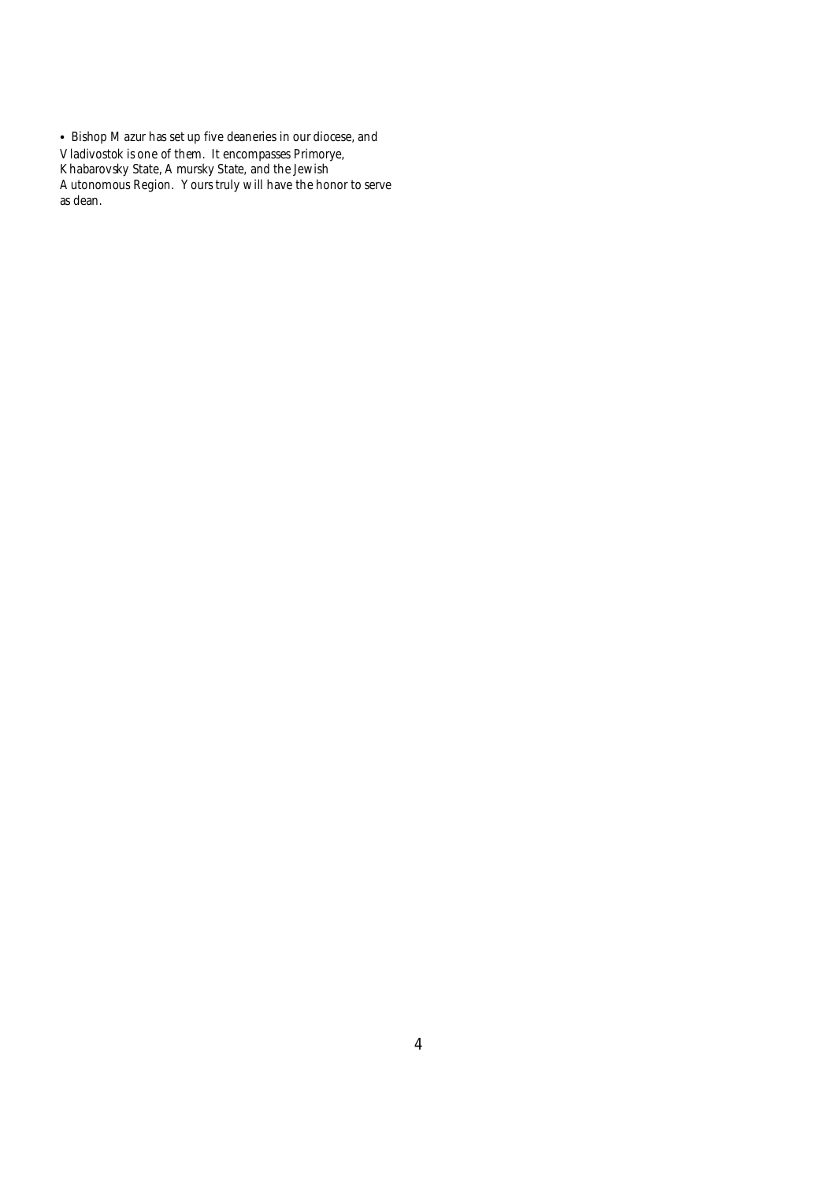• Bishop Mazur has set up five deaneries in our diocese, and Vladivostok is one of them. It encompasses Primorye, Khabarovsky State, Amursky State, and the Jewish Autonomous Region. Yours truly will have the honor to serve as dean.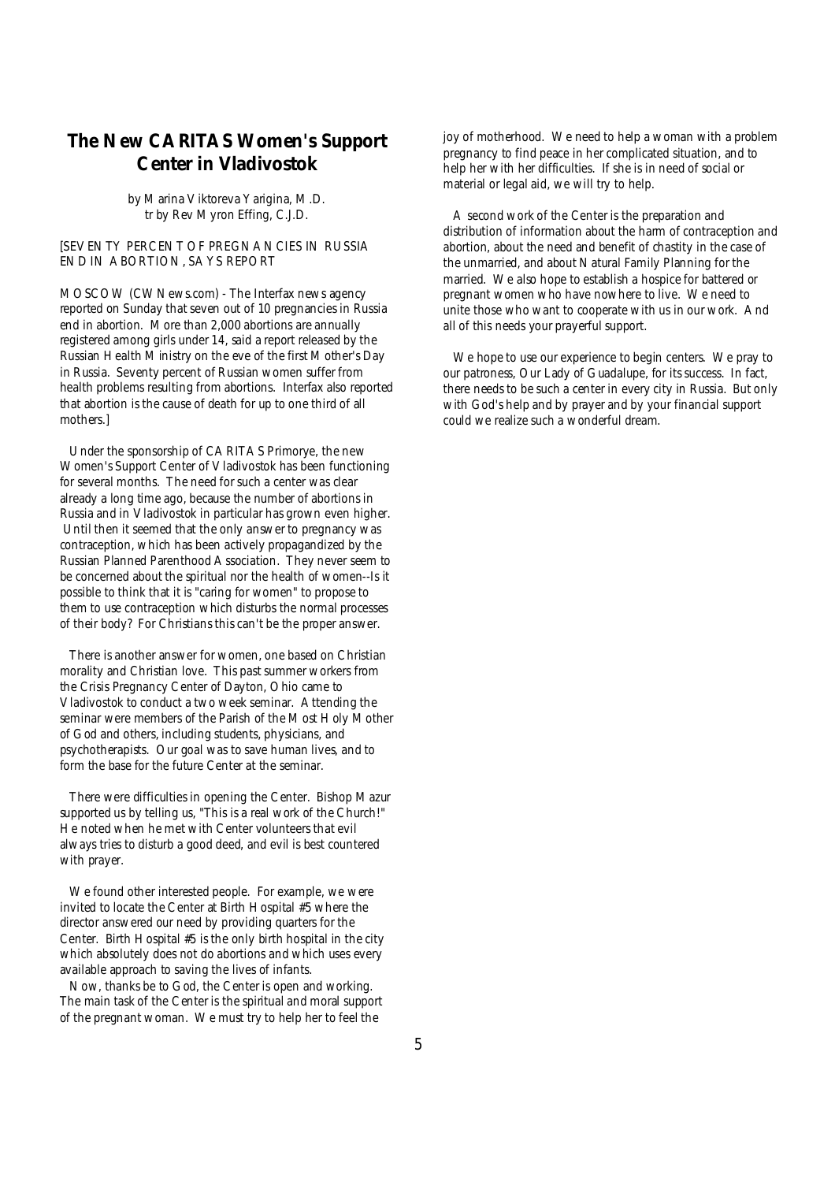# **The New CARITAS Women's Support Center in Vladivostok**

*by Marina Viktoreva Yarigina, M.D. tr by Rev Myron Effing, C.J.D.*

### [SEVENTY PERCENT OF PREGNANCIES IN RUSSIA END IN ABORTION, SAYS REPORT

MOSCOW (CWNews.com) - The Interfax news agency reported on Sunday that seven out of 10 pregnancies in Russia end in abortion. More than 2,000 abortions are annually registered among girls under 14, said a report released by the Russian Health Ministry on the eve of the first Mother's Day in Russia. Seventy percent of Russian women suffer from health problems resulting from abortions. Interfax also reported that abortion is the cause of death for up to one third of all mothers.]

Under the sponsorship of CARITAS Primorye, the new Women's Support Center of Vladivostok has been functioning for several months. The need for such a center was clear already a long time ago, because the number of abortions in Russia and in Vladivostok in particular has grown even higher. Until then it seemed that the only answer to pregnancy was contraception, which has been actively propagandized by the Russian Planned Parenthood Association. They never seem to be concerned about the spiritual nor the health of women--Is it possible to think that it is "caring for women" to propose to them to use contraception which disturbs the normal processes of their body? For Christians this can't be the proper answer.

There is another answer for women, one based on Christian morality and Christian love. This past summer workers from the Crisis Pregnancy Center of Dayton, Ohio came to Vladivostok to conduct a two week seminar. Attending the seminar were members of the Parish of the Most Holy Mother of God and others, including students, physicians, and psychotherapists. Our goal was to save human lives, and to form the base for the future Center at the seminar.

There were difficulties in opening the Center. Bishop Mazur supported us by telling us, "This is a real work of the Church!" He noted when he met with Center volunteers that evil always tries to disturb a good deed, and evil is best countered with prayer.

We found other interested people. For example, we were invited to locate the Center at Birth Hospital #5 where the director answered our need by providing quarters for the Center. Birth Hospital #5 is the only birth hospital in the city which absolutely does not do abortions and which uses every available approach to saving the lives of infants.

Now, thanks be to God, the Center is open and working. The main task of the Center is the spiritual and moral support of the pregnant woman. We must try to help her to feel the

joy of motherhood. We need to help a woman with a problem pregnancy to find peace in her complicated situation, and to help her with her difficulties. If she is in need of social or material or legal aid, we will try to help.

 A second work of the Center is the preparation and distribution of information about the harm of contraception and abortion, about the need and benefit of chastity in the case of the unmarried, and about Natural Family Planning for the married. We also hope to establish a hospice for battered or pregnant women who have nowhere to live. We need to unite those who want to cooperate with us in our work. And all of this needs your prayerful support.

 We hope to use our experience to begin centers. We pray to our patroness, Our Lady of Guadalupe, for its success. In fact, there needs to be such a center in every city in Russia. But only with God's help and by prayer and by your financial support could we realize such a wonderful dream.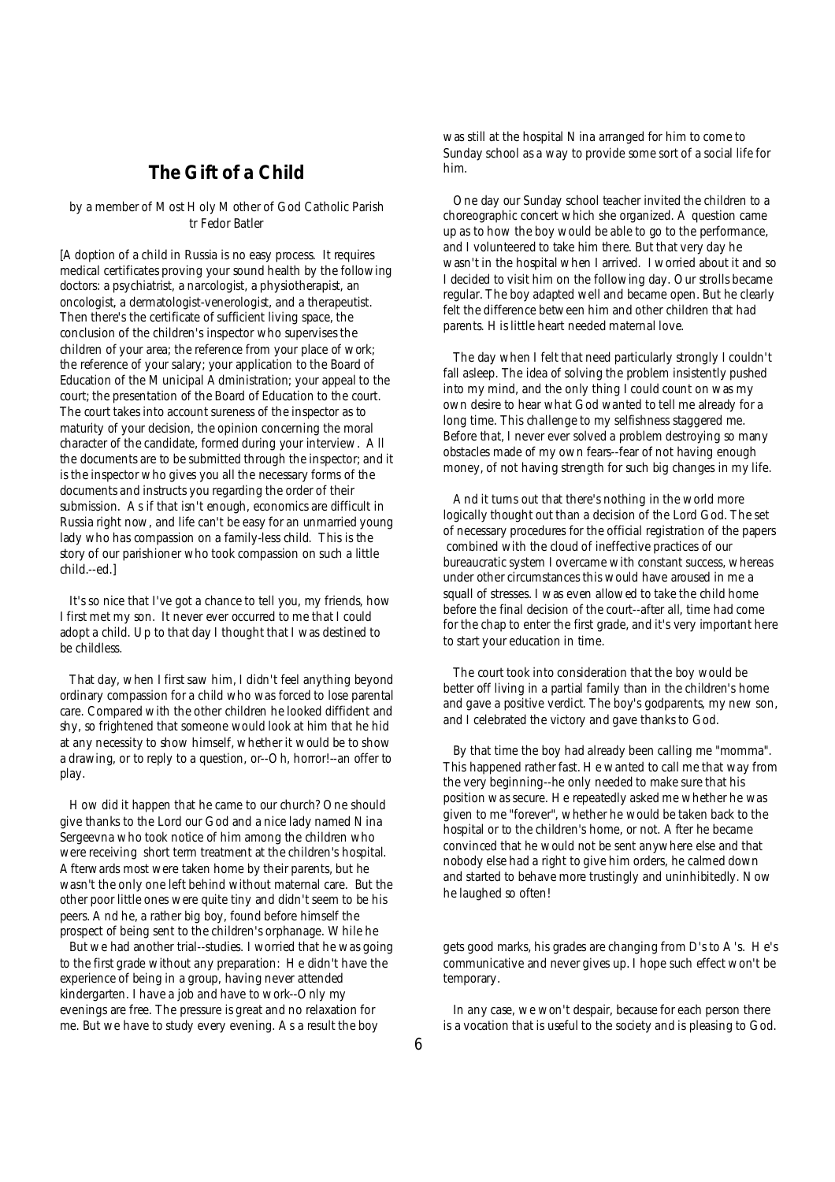## **The Gift of a Child**

by a member of Most Holy Mother of God Catholic Parish *tr Fedor Batler* 

[Adoption of a child in Russia is no easy process. It requires medical certificates proving your sound health by the following doctors: a psychiatrist, a narcologist, a physiotherapist, an oncologist, a dermatologist-venerologist, and a therapeutist. Then there's the certificate of sufficient living space, the conclusion of the children's inspector who supervises the children of your area; the reference from your place of work; the reference of your salary; your application to the Board of Education of the Municipal Administration; your appeal to the court; the presentation of the Board of Education to the court. The court takes into account sureness of the inspector as to maturity of your decision, the opinion concerning the moral character of the candidate, formed during your interview. All the documents are to be submitted through the inspector; and it is the inspector who gives you all the necessary forms of the documents and instructs you regarding the order of their submission. As if that isn't enough, economics are difficult in Russia right now, and life can't be easy for an unmarried young lady who has compassion on a family-less child. This is the story of our parishioner who took compassion on such a little child.--ed.]

It's so nice that I've got a chance to tell you, my friends, how I first met my son. It never ever occurred to me that I could adopt a child. Up to that day I thought that I was destined to be childless.

That day, when I first saw him, I didn't feel anything beyond ordinary compassion for a child who was forced to lose parental care. Compared with the other children he looked diffident and shy, so frightened that someone would look at him that he hid at any necessity to show himself, whether it would be to show a drawing, or to reply to a question, or--Oh, horror!--an offer to play.

How did it happen that he came to our church? One should give thanks to the Lord our God and a nice lady named Nina Sergeevna who took notice of him among the children who were receiving short term treatment at the children's hospital. Afterwards most were taken home by their parents, but he wasn't the only one left behind without maternal care. But the other poor little ones were quite tiny and didn't seem to be his peers. And he, a rather big boy, found before himself the prospect of being sent to the children's orphanage. While he

But we had another trial--studies. I worried that he was going to the first grade without any preparation: He didn't have the experience of being in a group, having never attended kindergarten. I have a job and have to work--Only my evenings are free. The pressure is great and no relaxation for me. But we have to study every evening. As a result the boy

was still at the hospital Nina arranged for him to come to Sunday school as a way to provide some sort of a social life for him.

 One day our Sunday school teacher invited the children to a choreographic concert which she organized. A question came up as to how the boy would be able to go to the performance, and I volunteered to take him there. But that very day he wasn't in the hospital when I arrived. I worried about it and so I decided to visit him on the following day. Our strolls became regular. The boy adapted well and became open. But he clearly felt the difference between him and other children that had parents. His little heart needed maternal love.

 The day when I felt that need particularly strongly I couldn't fall asleep. The idea of solving the problem insistently pushed into my mind, and the only thing I could count on was my own desire to hear what God wanted to tell me already for a long time. This challenge to my selfishness staggered me. Before that, I never ever solved a problem destroying so many obstacles made of my own fears--fear of not having enough money, of not having strength for such big changes in my life.

 And it turns out that there's nothing in the world more logically thought out than a decision of the Lord God. The set of necessary procedures for the official registration of the papers combined with the cloud of ineffective practices of our bureaucratic system I overcame with constant success, whereas under other circumstances this would have aroused in me a squall of stresses. I was even allowed to take the child home before the final decision of the court--after all, time had come for the chap to enter the first grade, and it's very important here to start your education in time.

 The court took into consideration that the boy would be better off living in a partial family than in the children's home and gave a positive verdict. The boy's godparents, my new son, and I celebrated the victory and gave thanks to God.

 By that time the boy had already been calling me "momma". This happened rather fast. He wanted to call me that way from the very beginning--he only needed to make sure that his position was secure. He repeatedly asked me whether he was given to me "forever", whether he would be taken back to the hospital or to the children's home, or not. After he became convinced that he would not be sent anywhere else and that nobody else had a right to give him orders, he calmed down and started to behave more trustingly and uninhibitedly. Now he laughed so often!

gets good marks, his grades are changing from D's to A's. He's communicative and never gives up. I hope such effect won't be temporary.

 In any case, we won't despair, because for each person there is a vocation that is useful to the society and is pleasing to God.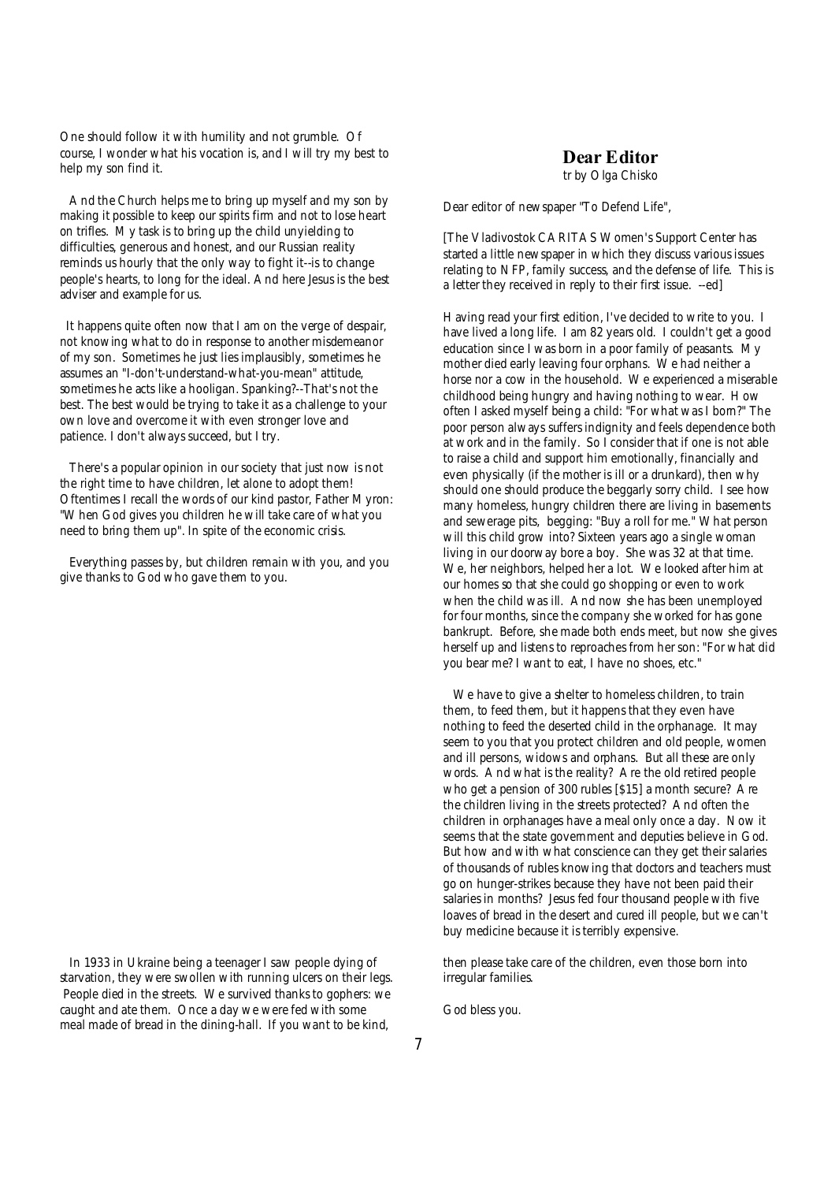One should follow it with humility and not grumble. Of course, I wonder what his vocation is, and I will try my best to help my son find it.

And the Church helps me to bring up myself and my son by making it possible to keep our spirits firm and not to lose heart on trifles. My task is to bring up the child unyielding to difficulties, generous and honest, and our Russian reality reminds us hourly that the only way to fight it--is to change people's hearts, to long for the ideal. And here Jesus is the best adviser and example for us.

It happens quite often now that I am on the verge of despair, not knowing what to do in response to another misdemeanor of my son. Sometimes he just lies implausibly, sometimes he assumes an "I-don't-understand-what-you-mean" attitude, sometimes he acts like a hooligan. Spanking?--That's not the best. The best would be trying to take it as a challenge to your own love and overcome it with even stronger love and patience. I don't always succeed, but I try.

There's a popular opinion in our society that just now is not the right time to have children, let alone to adopt them! Oftentimes I recall the words of our kind pastor, Father Myron: "When God gives you children he will take care of what you need to bring them up". In spite of the economic crisis.

Everything passes by, but children remain with you, and you give thanks to God who gave them to you.

In 1933 in Ukraine being a teenager I saw people dying of starvation, they were swollen with running ulcers on their legs. People died in the streets. We survived thanks to gophers: we caught and ate them. Once a day we were fed with some meal made of bread in the dining-hall. If you want to be kind,

### **Dear Editor**

*tr by Olga Chisko*

Dear editor of newspaper "To Defend Life",

[The Vladivostok CARITAS Women's Support Center has started a little newspaper in which they discuss various issues relating to NFP, family success, and the defense of life. This is a letter they received in reply to their first issue. --ed]

Having read your first edition, I've decided to write to you. I have lived a long life. I am 82 years old. I couldn't get a good education since I was born in a poor family of peasants. My mother died early leaving four orphans. We had neither a horse nor a cow in the household. We experienced a miserable childhood being hungry and having nothing to wear. How often I asked myself being a child: "For what was I born?" The poor person always suffers indignity and feels dependence both at work and in the family. So I consider that if one is not able to raise a child and support him emotionally, financially and even physically (if the mother is ill or a drunkard), then why should one should produce the beggarly sorry child. I see how many homeless, hungry children there are living in basements and sewerage pits, begging: "Buy a roll for me." What person will this child grow into? Sixteen years ago a single woman living in our doorway bore a boy. She was 32 at that time. We, her neighbors, helped her a lot. We looked after him at our homes so that she could go shopping or even to work when the child was ill. And now she has been unemployed for four months, since the company she worked for has gone bankrupt. Before, she made both ends meet, but now she gives herself up and listens to reproaches from her son: "For what did you bear me? I want to eat, I have no shoes, etc."

We have to give a shelter to homeless children, to train them, to feed them, but it happens that they even have nothing to feed the deserted child in the orphanage. It may seem to you that you protect children and old people, women and ill persons, widows and orphans. But all these are only words. And what is the reality? Are the old retired people who get a pension of 300 rubles [\$15] a month secure? Are the children living in the streets protected? And often the children in orphanages have a meal only once a day. Now it seems that the state government and deputies believe in God. But how and with what conscience can they get their salaries of thousands of rubles knowing that doctors and teachers must go on hunger-strikes because they have not been paid their salaries in months? Jesus fed four thousand people with five loaves of bread in the desert and cured ill people, but we can't buy medicine because it is terribly expensive.

then please take care of the children, even those born into irregular families.

God bless you.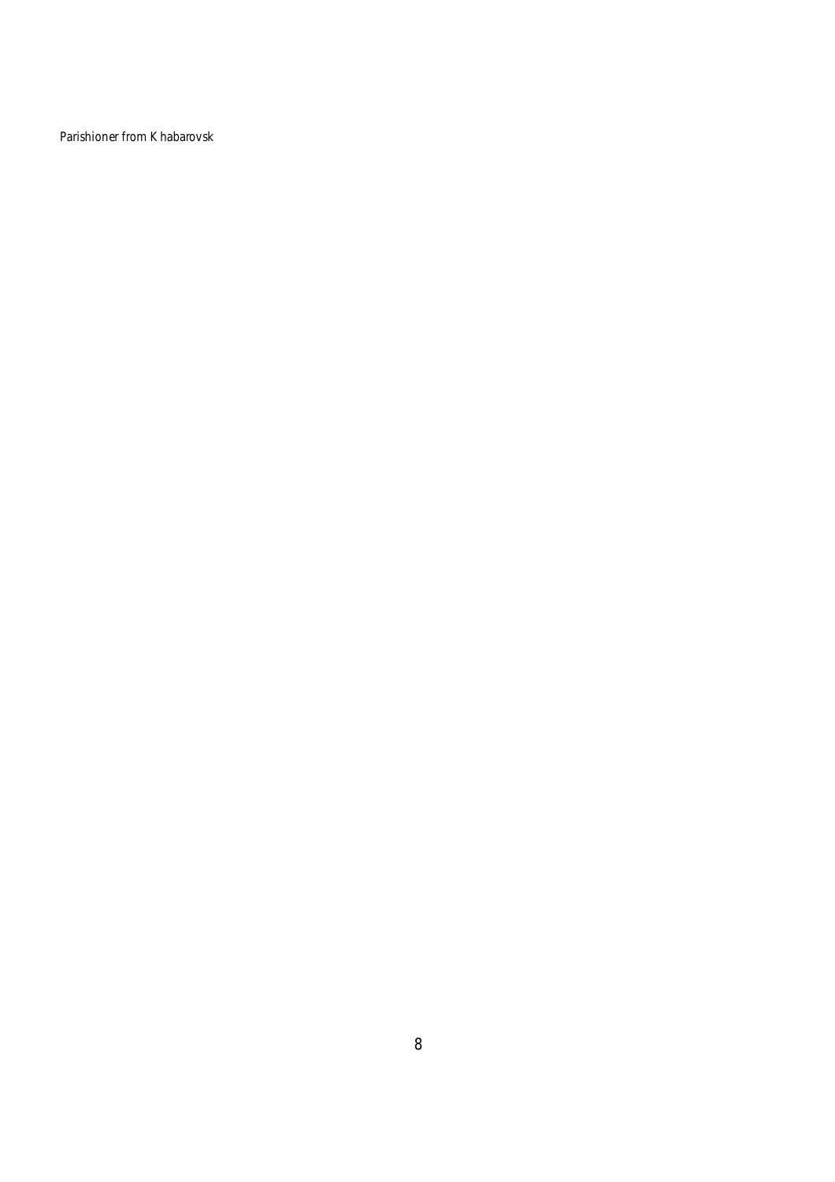Parishioner from Khabarovsk